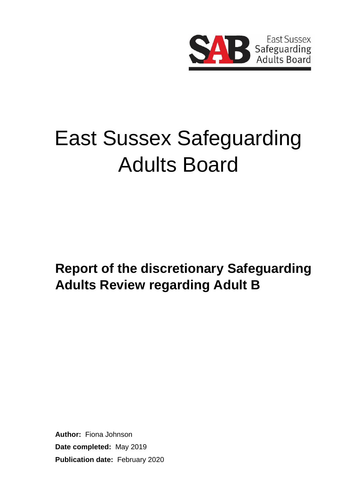

# East Sussex Safeguarding Adults Board

**Report of the discretionary Safeguarding Adults Review regarding Adult B**

**Author:** Fiona Johnson **Date completed:** May 2019 **Publication date:** February 2020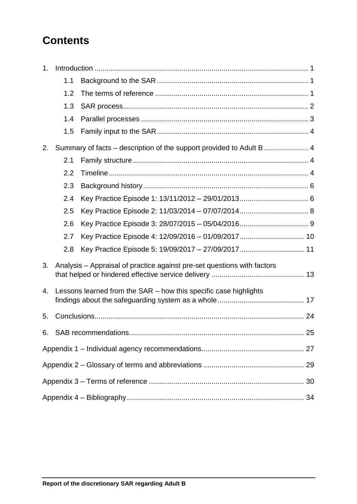# **Contents**

| 1. |                                                                  |                                                                         |  |
|----|------------------------------------------------------------------|-------------------------------------------------------------------------|--|
|    | 1.1                                                              |                                                                         |  |
|    | 1.2                                                              |                                                                         |  |
|    | 1.3                                                              |                                                                         |  |
|    | 1.4                                                              |                                                                         |  |
|    | 1.5                                                              |                                                                         |  |
| 2. |                                                                  |                                                                         |  |
|    | 2.1                                                              |                                                                         |  |
|    | 2.2                                                              |                                                                         |  |
|    | 2.3                                                              |                                                                         |  |
|    | 2.4                                                              |                                                                         |  |
|    | 2.5                                                              |                                                                         |  |
|    | 2.6                                                              |                                                                         |  |
|    | 2.7                                                              |                                                                         |  |
|    | 2.8                                                              |                                                                         |  |
| 3. |                                                                  | Analysis – Appraisal of practice against pre-set questions with factors |  |
| 4. | Lessons learned from the SAR – how this specific case highlights |                                                                         |  |
| 5. |                                                                  |                                                                         |  |
| 6. |                                                                  |                                                                         |  |
|    |                                                                  |                                                                         |  |
|    |                                                                  |                                                                         |  |
|    |                                                                  |                                                                         |  |
|    |                                                                  |                                                                         |  |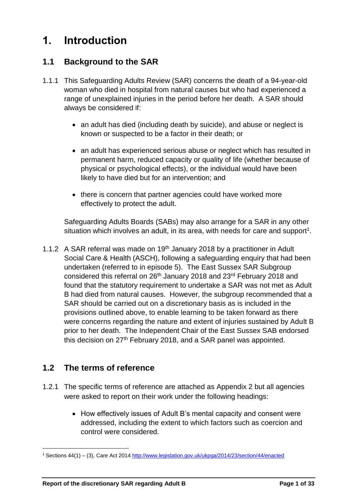## <span id="page-2-0"></span>**1. Introduction**

#### <span id="page-2-1"></span>**1.1 Background to the SAR**

- 1.1.1 This Safeguarding Adults Review (SAR) concerns the death of a 94-year-old woman who died in hospital from natural causes but who had experienced a range of unexplained injuries in the period before her death. A SAR should always be considered if:
	- an adult has died (including death by suicide), and abuse or neglect is known or suspected to be a factor in their death; or
	- an adult has experienced serious abuse or neglect which has resulted in permanent harm, reduced capacity or quality of life (whether because of physical or psychological effects), or the individual would have been likely to have died but for an intervention; and
	- there is concern that partner agencies could have worked more effectively to protect the adult.

Safeguarding Adults Boards (SABs) may also arrange for a SAR in any other situation which involves an adult, in its area, with needs for care and support<sup>1</sup>.

1.1.2 A SAR referral was made on 19<sup>th</sup> January 2018 by a practitioner in Adult Social Care & Health (ASCH), following a safeguarding enquiry that had been undertaken (referred to in episode 5). The East Sussex SAR Subgroup considered this referral on 26<sup>th</sup> January 2018 and 23<sup>rd</sup> February 2018 and found that the statutory requirement to undertake a SAR was not met as Adult B had died from natural causes. However, the subgroup recommended that a SAR should be carried out on a discretionary basis as is included in the provisions outlined above, to enable learning to be taken forward as there were concerns regarding the nature and extent of injuries sustained by Adult B prior to her death. The Independent Chair of the East Sussex SAB endorsed this decision on 27<sup>th</sup> February 2018, and a SAR panel was appointed.

#### <span id="page-2-2"></span>**1.2 The terms of reference**

- 1.2.1 The specific terms of reference are attached as Appendix 2 but all agencies were asked to report on their work under the following headings:
	- How effectively issues of Adult B's mental capacity and consent were addressed, including the extent to which factors such as coercion and control were considered.

<sup>1</sup> Sections 44(1) – (3), Care Act 201[4 http://www.legislation.gov.uk/ukpga/2014/23/section/44/enacted](http://www.legislation.gov.uk/ukpga/2014/23/section/44/enacted)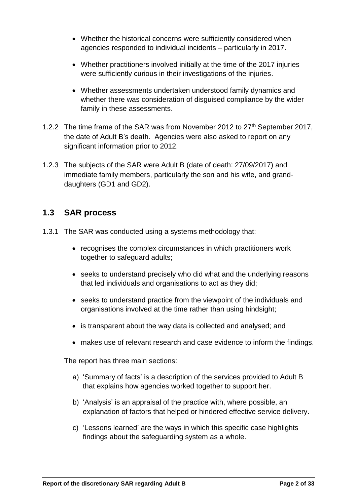- Whether the historical concerns were sufficiently considered when agencies responded to individual incidents – particularly in 2017.
- Whether practitioners involved initially at the time of the 2017 injuries were sufficiently curious in their investigations of the injuries.
- Whether assessments undertaken understood family dynamics and whether there was consideration of disguised compliance by the wider family in these assessments.
- 1.2.2 The time frame of the SAR was from November 2012 to 27<sup>th</sup> September 2017, the date of Adult B's death. Agencies were also asked to report on any significant information prior to 2012.
- 1.2.3 The subjects of the SAR were Adult B (date of death: 27/09/2017) and immediate family members, particularly the son and his wife, and granddaughters (GD1 and GD2).

#### <span id="page-3-0"></span>**1.3 SAR process**

- 1.3.1 The SAR was conducted using a systems methodology that:
	- recognises the complex circumstances in which practitioners work together to safeguard adults;
	- seeks to understand precisely who did what and the underlying reasons that led individuals and organisations to act as they did;
	- seeks to understand practice from the viewpoint of the individuals and organisations involved at the time rather than using hindsight;
	- is transparent about the way data is collected and analysed; and
	- makes use of relevant research and case evidence to inform the findings.

The report has three main sections:

- a) 'Summary of facts' is a description of the services provided to Adult B that explains how agencies worked together to support her.
- b) 'Analysis' is an appraisal of the practice with, where possible, an explanation of factors that helped or hindered effective service delivery.
- c) 'Lessons learned' are the ways in which this specific case highlights findings about the safeguarding system as a whole.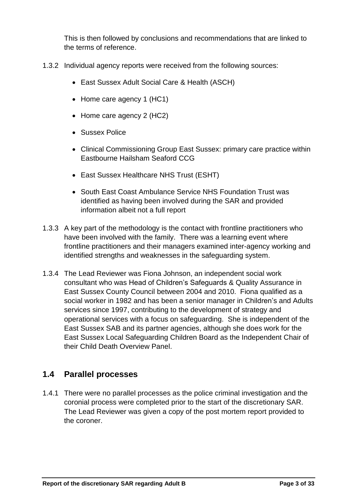This is then followed by conclusions and recommendations that are linked to the terms of reference.

- 1.3.2 Individual agency reports were received from the following sources:
	- East Sussex Adult Social Care & Health (ASCH)
	- Home care agency 1 (HC1)
	- Home care agency 2 (HC2)
	- Sussex Police
	- Clinical Commissioning Group East Sussex: primary care practice within Eastbourne Hailsham Seaford CCG
	- East Sussex Healthcare NHS Trust (ESHT)
	- South East Coast Ambulance Service NHS Foundation Trust was identified as having been involved during the SAR and provided information albeit not a full report
- 1.3.3 A key part of the methodology is the contact with frontline practitioners who have been involved with the family. There was a learning event where frontline practitioners and their managers examined inter-agency working and identified strengths and weaknesses in the safeguarding system.
- 1.3.4 The Lead Reviewer was Fiona Johnson, an independent social work consultant who was Head of Children's Safeguards & Quality Assurance in East Sussex County Council between 2004 and 2010. Fiona qualified as a social worker in 1982 and has been a senior manager in Children's and Adults services since 1997, contributing to the development of strategy and operational services with a focus on safeguarding. She is independent of the East Sussex SAB and its partner agencies, although she does work for the East Sussex Local Safeguarding Children Board as the Independent Chair of their Child Death Overview Panel.

#### <span id="page-4-0"></span>**1.4 Parallel processes**

1.4.1 There were no parallel processes as the police criminal investigation and the coronial process were completed prior to the start of the discretionary SAR. The Lead Reviewer was given a copy of the post mortem report provided to the coroner.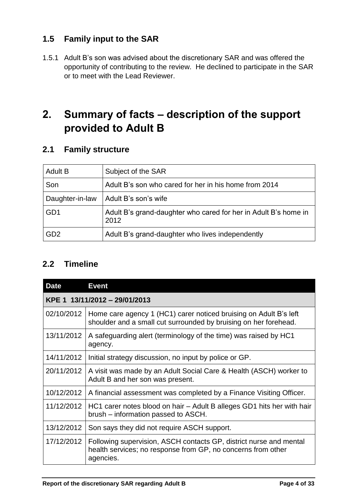### <span id="page-5-0"></span>**1.5 Family input to the SAR**

1.5.1 Adult B's son was advised about the discretionary SAR and was offered the opportunity of contributing to the review. He declined to participate in the SAR or to meet with the Lead Reviewer.

# <span id="page-5-1"></span>**2. Summary of facts – description of the support provided to Adult B**

#### <span id="page-5-2"></span>**2.1 Family structure**

| <b>Adult B</b>  | Subject of the SAR                                                      |
|-----------------|-------------------------------------------------------------------------|
| Son             | Adult B's son who cared for her in his home from 2014                   |
| Daughter-in-law | Adult B's son's wife                                                    |
| GD <sub>1</sub> | Adult B's grand-daughter who cared for her in Adult B's home in<br>2012 |
| GD <sub>2</sub> | Adult B's grand-daughter who lives independently                        |

#### <span id="page-5-3"></span>**2.2 Timeline**

| <b>Date</b>                   | <b>Event</b>                                                                                                                                    |  |
|-------------------------------|-------------------------------------------------------------------------------------------------------------------------------------------------|--|
| KPE 1 13/11/2012 - 29/01/2013 |                                                                                                                                                 |  |
| 02/10/2012                    | Home care agency 1 (HC1) carer noticed bruising on Adult B's left<br>shoulder and a small cut surrounded by bruising on her forehead.           |  |
| 13/11/2012                    | A safeguarding alert (terminology of the time) was raised by HC1<br>agency.                                                                     |  |
| 14/11/2012                    | Initial strategy discussion, no input by police or GP.                                                                                          |  |
| 20/11/2012                    | A visit was made by an Adult Social Care & Health (ASCH) worker to<br>Adult B and her son was present.                                          |  |
| 10/12/2012                    | A financial assessment was completed by a Finance Visiting Officer.                                                                             |  |
| 11/12/2012                    | HC1 carer notes blood on hair – Adult B alleges GD1 hits her with hair<br>brush – information passed to ASCH.                                   |  |
| 13/12/2012                    | Son says they did not require ASCH support.                                                                                                     |  |
| 17/12/2012                    | Following supervision, ASCH contacts GP, district nurse and mental<br>health services; no response from GP, no concerns from other<br>agencies. |  |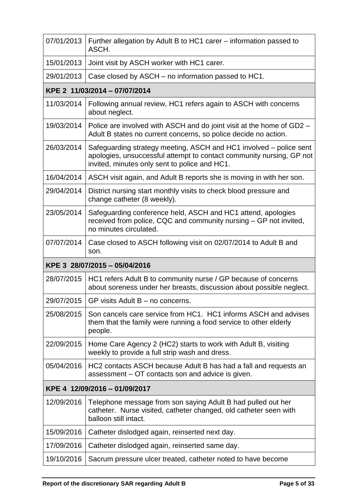| 07/01/2013                    | Further allegation by Adult B to HC1 carer - information passed to<br>ASCH.                                                                                                                 |  |  |  |
|-------------------------------|---------------------------------------------------------------------------------------------------------------------------------------------------------------------------------------------|--|--|--|
| 15/01/2013                    | Joint visit by ASCH worker with HC1 carer.                                                                                                                                                  |  |  |  |
| 29/01/2013                    | Case closed by ASCH – no information passed to HC1.                                                                                                                                         |  |  |  |
|                               | KPE 2 11/03/2014 - 07/07/2014                                                                                                                                                               |  |  |  |
| 11/03/2014                    | Following annual review, HC1 refers again to ASCH with concerns<br>about neglect.                                                                                                           |  |  |  |
| 19/03/2014                    | Police are involved with ASCH and do joint visit at the home of GD2 –<br>Adult B states no current concerns, so police decide no action.                                                    |  |  |  |
| 26/03/2014                    | Safeguarding strategy meeting, ASCH and HC1 involved – police sent<br>apologies, unsuccessful attempt to contact community nursing, GP not<br>invited, minutes only sent to police and HC1. |  |  |  |
| 16/04/2014                    | ASCH visit again, and Adult B reports she is moving in with her son.                                                                                                                        |  |  |  |
| 29/04/2014                    | District nursing start monthly visits to check blood pressure and<br>change catheter (8 weekly).                                                                                            |  |  |  |
| 23/05/2014                    | Safeguarding conference held, ASCH and HC1 attend, apologies<br>received from police, CQC and community nursing – GP not invited,<br>no minutes circulated.                                 |  |  |  |
| 07/07/2014                    | Case closed to ASCH following visit on 02/07/2014 to Adult B and<br>son.                                                                                                                    |  |  |  |
|                               | KPE 3 28/07/2015 - 05/04/2016                                                                                                                                                               |  |  |  |
| 28/07/2015                    | HC1 refers Adult B to community nurse / GP because of concerns<br>about soreness under her breasts, discussion about possible neglect.                                                      |  |  |  |
|                               | 29/07/2015   GP visits Adult B – no concerns.                                                                                                                                               |  |  |  |
| 25/08/2015                    | Son cancels care service from HC1. HC1 informs ASCH and advises<br>them that the family were running a food service to other elderly<br>people.                                             |  |  |  |
| 22/09/2015                    | Home Care Agency 2 (HC2) starts to work with Adult B, visiting<br>weekly to provide a full strip wash and dress.                                                                            |  |  |  |
| 05/04/2016                    | HC2 contacts ASCH because Adult B has had a fall and requests an<br>assessment – OT contacts son and advice is given.                                                                       |  |  |  |
| KPE 4 12/09/2016 - 01/09/2017 |                                                                                                                                                                                             |  |  |  |
| 12/09/2016                    | Telephone message from son saying Adult B had pulled out her<br>catheter. Nurse visited, catheter changed, old catheter seen with<br>balloon still intact.                                  |  |  |  |
| 15/09/2016                    | Catheter dislodged again, reinserted next day.                                                                                                                                              |  |  |  |
| 17/09/2016                    | Catheter dislodged again, reinserted same day.                                                                                                                                              |  |  |  |
| 19/10/2016                    | Sacrum pressure ulcer treated, catheter noted to have become                                                                                                                                |  |  |  |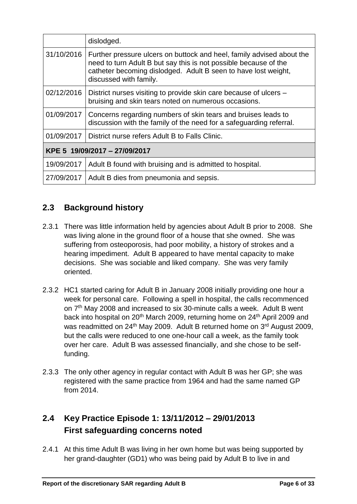|                               | dislodged.                                                                                                                                                                                                                            |  |
|-------------------------------|---------------------------------------------------------------------------------------------------------------------------------------------------------------------------------------------------------------------------------------|--|
| 31/10/2016                    | Further pressure ulcers on buttock and heel, family advised about the<br>need to turn Adult B but say this is not possible because of the<br>catheter becoming dislodged. Adult B seen to have lost weight,<br>discussed with family. |  |
| 02/12/2016                    | District nurses visiting to provide skin care because of ulcers –<br>bruising and skin tears noted on numerous occasions.                                                                                                             |  |
| 01/09/2017                    | Concerns regarding numbers of skin tears and bruises leads to<br>discussion with the family of the need for a safeguarding referral.                                                                                                  |  |
| 01/09/2017                    | District nurse refers Adult B to Falls Clinic.                                                                                                                                                                                        |  |
| KPE 5 19/09/2017 - 27/09/2017 |                                                                                                                                                                                                                                       |  |
| 19/09/2017                    | Adult B found with bruising and is admitted to hospital.                                                                                                                                                                              |  |
| 27/09/2017                    | Adult B dies from pneumonia and sepsis.                                                                                                                                                                                               |  |

## <span id="page-7-0"></span>**2.3 Background history**

- 2.3.1 There was little information held by agencies about Adult B prior to 2008. She was living alone in the ground floor of a house that she owned. She was suffering from osteoporosis, had poor mobility, a history of strokes and a hearing impediment. Adult B appeared to have mental capacity to make decisions. She was sociable and liked company. She was very family oriented.
- 2.3.2 HC1 started caring for Adult B in January 2008 initially providing one hour a week for personal care. Following a spell in hospital, the calls recommenced on 7<sup>th</sup> May 2008 and increased to six 30-minute calls a week. Adult B went back into hospital on 20<sup>th</sup> March 2009, returning home on 24<sup>th</sup> April 2009 and was readmitted on 24<sup>th</sup> May 2009. Adult B returned home on 3<sup>rd</sup> August 2009, but the calls were reduced to one one-hour call a week, as the family took over her care. Adult B was assessed financially, and she chose to be selffunding.
- 2.3.3 The only other agency in regular contact with Adult B was her GP; she was registered with the same practice from 1964 and had the same named GP from 2014.

## <span id="page-7-1"></span>**2.4 Key Practice Episode 1: 13/11/2012 – 29/01/2013 First safeguarding concerns noted**

2.4.1 At this time Adult B was living in her own home but was being supported by her grand-daughter (GD1) who was being paid by Adult B to live in and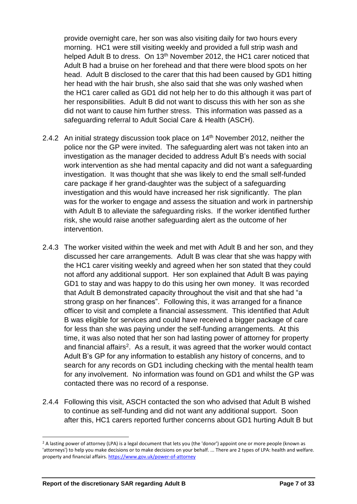provide overnight care, her son was also visiting daily for two hours every morning. HC1 were still visiting weekly and provided a full strip wash and helped Adult B to dress. On 13<sup>th</sup> November 2012, the HC1 carer noticed that Adult B had a bruise on her forehead and that there were blood spots on her head. Adult B disclosed to the carer that this had been caused by GD1 hitting her head with the hair brush, she also said that she was only washed when the HC1 carer called as GD1 did not help her to do this although it was part of her responsibilities. Adult B did not want to discuss this with her son as she did not want to cause him further stress. This information was passed as a safeguarding referral to Adult Social Care & Health (ASCH).

- 2.4.2 An initial strategy discussion took place on  $14<sup>th</sup>$  November 2012, neither the police nor the GP were invited. The safeguarding alert was not taken into an investigation as the manager decided to address Adult B's needs with social work intervention as she had mental capacity and did not want a safeguarding investigation. It was thought that she was likely to end the small self-funded care package if her grand-daughter was the subject of a safeguarding investigation and this would have increased her risk significantly. The plan was for the worker to engage and assess the situation and work in partnership with Adult B to alleviate the safeguarding risks. If the worker identified further risk, she would raise another safeguarding alert as the outcome of her intervention.
- 2.4.3 The worker visited within the week and met with Adult B and her son, and they discussed her care arrangements. Adult B was clear that she was happy with the HC1 carer visiting weekly and agreed when her son stated that they could not afford any additional support. Her son explained that Adult B was paying GD1 to stay and was happy to do this using her own money. It was recorded that Adult B demonstrated capacity throughout the visit and that she had "a strong grasp on her finances". Following this, it was arranged for a finance officer to visit and complete a financial assessment. This identified that Adult B was eligible for services and could have received a bigger package of care for less than she was paying under the self-funding arrangements. At this time, it was also noted that her son had lasting power of attorney for property and financial affairs<sup>2</sup>. As a result, it was agreed that the worker would contact Adult B's GP for any information to establish any history of concerns, and to search for any records on GD1 including checking with the mental health team for any involvement. No information was found on GD1 and whilst the GP was contacted there was no record of a response.
- 2.4.4 Following this visit, ASCH contacted the son who advised that Adult B wished to continue as self-funding and did not want any additional support. Soon after this, HC1 carers reported further concerns about GD1 hurting Adult B but

<sup>&</sup>lt;sup>2</sup> A lasting power of attorney (LPA) is a legal document that lets you (the 'donor') appoint one or more people (known as 'attorneys') to help you make decisions or to make decisions on your behalf. ... There are 2 types of LPA: health and welfare. property and financial affairs. <https://www.gov.uk/power-of-attorney>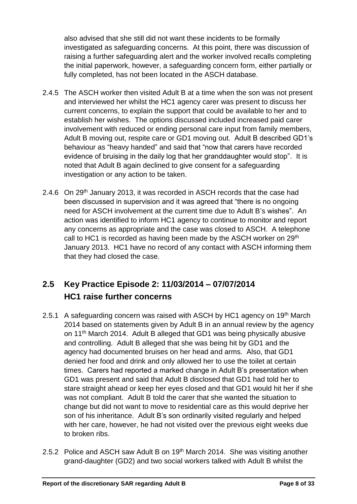also advised that she still did not want these incidents to be formally investigated as safeguarding concerns. At this point, there was discussion of raising a further safeguarding alert and the worker involved recalls completing the initial paperwork, however, a safeguarding concern form, either partially or fully completed, has not been located in the ASCH database.

- 2.4.5 The ASCH worker then visited Adult B at a time when the son was not present and interviewed her whilst the HC1 agency carer was present to discuss her current concerns, to explain the support that could be available to her and to establish her wishes. The options discussed included increased paid carer involvement with reduced or ending personal care input from family members, Adult B moving out, respite care or GD1 moving out. Adult B described GD1's behaviour as "heavy handed" and said that "now that carers have recorded evidence of bruising in the daily log that her granddaughter would stop". It is noted that Adult B again declined to give consent for a safeguarding investigation or any action to be taken.
- 2.4.6 On 29<sup>th</sup> January 2013, it was recorded in ASCH records that the case had been discussed in supervision and it was agreed that "there is no ongoing need for ASCH involvement at the current time due to Adult B's wishes". An action was identified to inform HC1 agency to continue to monitor and report any concerns as appropriate and the case was closed to ASCH. A telephone call to HC1 is recorded as having been made by the ASCH worker on 29<sup>th</sup> January 2013. HC1 have no record of any contact with ASCH informing them that they had closed the case.

## <span id="page-9-0"></span>**2.5 Key Practice Episode 2: 11/03/2014 – 07/07/2014 HC1 raise further concerns**

- 2.5.1 A safeguarding concern was raised with ASCH by HC1 agency on 19<sup>th</sup> March 2014 based on statements given by Adult B in an annual review by the agency on 11th March 2014. Adult B alleged that GD1 was being physically abusive and controlling. Adult B alleged that she was being hit by GD1 and the agency had documented bruises on her head and arms. Also, that GD1 denied her food and drink and only allowed her to use the toilet at certain times. Carers had reported a marked change in Adult B's presentation when GD1 was present and said that Adult B disclosed that GD1 had told her to stare straight ahead or keep her eyes closed and that GD1 would hit her if she was not compliant. Adult B told the carer that she wanted the situation to change but did not want to move to residential care as this would deprive her son of his inheritance. Adult B's son ordinarily visited regularly and helped with her care, however, he had not visited over the previous eight weeks due to broken ribs.
- 2.5.2 Police and ASCH saw Adult B on 19<sup>th</sup> March 2014. She was visiting another grand-daughter (GD2) and two social workers talked with Adult B whilst the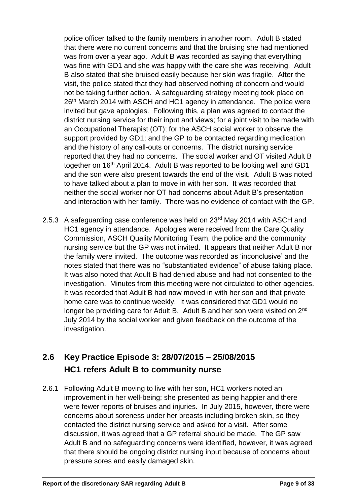police officer talked to the family members in another room. Adult B stated that there were no current concerns and that the bruising she had mentioned was from over a year ago. Adult B was recorded as saying that everything was fine with GD1 and she was happy with the care she was receiving. Adult B also stated that she bruised easily because her skin was fragile. After the visit, the police stated that they had observed nothing of concern and would not be taking further action. A safeguarding strategy meeting took place on 26<sup>th</sup> March 2014 with ASCH and HC1 agency in attendance. The police were invited but gave apologies. Following this, a plan was agreed to contact the district nursing service for their input and views; for a joint visit to be made with an Occupational Therapist (OT); for the ASCH social worker to observe the support provided by GD1; and the GP to be contacted regarding medication and the history of any call-outs or concerns. The district nursing service reported that they had no concerns. The social worker and OT visited Adult B together on 16<sup>th</sup> April 2014. Adult B was reported to be looking well and GD1 and the son were also present towards the end of the visit. Adult B was noted to have talked about a plan to move in with her son. It was recorded that neither the social worker nor OT had concerns about Adult B's presentation and interaction with her family. There was no evidence of contact with the GP.

2.5.3 A safeguarding case conference was held on 23rd May 2014 with ASCH and HC1 agency in attendance. Apologies were received from the Care Quality Commission, ASCH Quality Monitoring Team, the police and the community nursing service but the GP was not invited. It appears that neither Adult B nor the family were invited. The outcome was recorded as 'inconclusive' and the notes stated that there was no "substantiated evidence" of abuse taking place. It was also noted that Adult B had denied abuse and had not consented to the investigation. Minutes from this meeting were not circulated to other agencies. It was recorded that Adult B had now moved in with her son and that private home care was to continue weekly. It was considered that GD1 would no longer be providing care for Adult B. Adult B and her son were visited on 2<sup>nd</sup> July 2014 by the social worker and given feedback on the outcome of the investigation.

## <span id="page-10-0"></span>**2.6 Key Practice Episode 3: 28/07/2015 – 25/08/2015 HC1 refers Adult B to community nurse**

2.6.1 Following Adult B moving to live with her son, HC1 workers noted an improvement in her well-being; she presented as being happier and there were fewer reports of bruises and injuries. In July 2015, however, there were concerns about soreness under her breasts including broken skin, so they contacted the district nursing service and asked for a visit. After some discussion, it was agreed that a GP referral should be made. The GP saw Adult B and no safeguarding concerns were identified, however, it was agreed that there should be ongoing district nursing input because of concerns about pressure sores and easily damaged skin.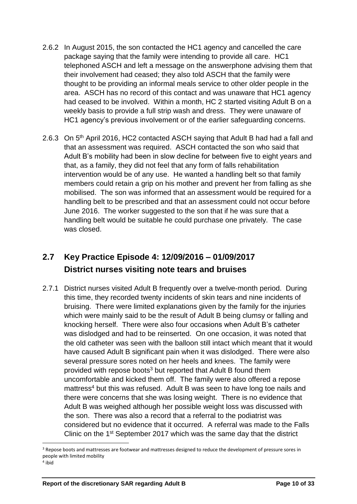- 2.6.2 In August 2015, the son contacted the HC1 agency and cancelled the care package saying that the family were intending to provide all care. HC1 telephoned ASCH and left a message on the answerphone advising them that their involvement had ceased; they also told ASCH that the family were thought to be providing an informal meals service to other older people in the area. ASCH has no record of this contact and was unaware that HC1 agency had ceased to be involved. Within a month, HC 2 started visiting Adult B on a weekly basis to provide a full strip wash and dress. They were unaware of HC1 agency's previous involvement or of the earlier safeguarding concerns.
- 2.6.3 On 5<sup>th</sup> April 2016, HC2 contacted ASCH saying that Adult B had had a fall and that an assessment was required. ASCH contacted the son who said that Adult B's mobility had been in slow decline for between five to eight years and that, as a family, they did not feel that any form of falls rehabilitation intervention would be of any use. He wanted a handling belt so that family members could retain a grip on his mother and prevent her from falling as she mobilised. The son was informed that an assessment would be required for a handling belt to be prescribed and that an assessment could not occur before June 2016. The worker suggested to the son that if he was sure that a handling belt would be suitable he could purchase one privately. The case was closed.

## <span id="page-11-0"></span>**2.7 Key Practice Episode 4: 12/09/2016 – 01/09/2017 District nurses visiting note tears and bruises**

2.7.1 District nurses visited Adult B frequently over a twelve-month period. During this time, they recorded twenty incidents of skin tears and nine incidents of bruising. There were limited explanations given by the family for the injuries which were mainly said to be the result of Adult B being clumsy or falling and knocking herself. There were also four occasions when Adult B's catheter was dislodged and had to be reinserted. On one occasion, it was noted that the old catheter was seen with the balloon still intact which meant that it would have caused Adult B significant pain when it was dislodged. There were also several pressure sores noted on her heels and knees. The family were provided with repose boots<sup>3</sup> but reported that Adult B found them uncomfortable and kicked them off. The family were also offered a repose mattress<sup>4</sup> but this was refused. Adult B was seen to have long toe nails and there were concerns that she was losing weight. There is no evidence that Adult B was weighed although her possible weight loss was discussed with the son. There was also a record that a referral to the podiatrist was considered but no evidence that it occurred. A referral was made to the Falls Clinic on the 1st September 2017 which was the same day that the district

<sup>&</sup>lt;sup>3</sup> Repose boots and mattresses are footwear and mattresses designed to reduce the development of pressure sores in people with limited mobility

<sup>4</sup> ibid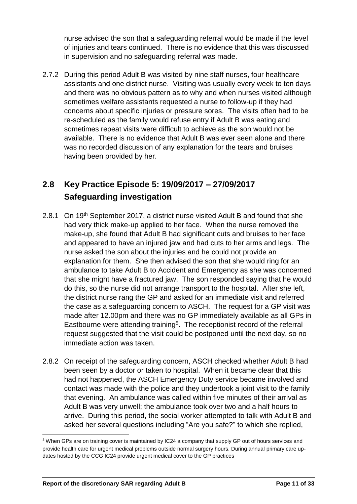nurse advised the son that a safeguarding referral would be made if the level of injuries and tears continued. There is no evidence that this was discussed in supervision and no safeguarding referral was made.

2.7.2 During this period Adult B was visited by nine staff nurses, four healthcare assistants and one district nurse. Visiting was usually every week to ten days and there was no obvious pattern as to why and when nurses visited although sometimes welfare assistants requested a nurse to follow-up if they had concerns about specific injuries or pressure sores. The visits often had to be re-scheduled as the family would refuse entry if Adult B was eating and sometimes repeat visits were difficult to achieve as the son would not be available. There is no evidence that Adult B was ever seen alone and there was no recorded discussion of any explanation for the tears and bruises having been provided by her.

## <span id="page-12-0"></span>**2.8 Key Practice Episode 5: 19/09/2017 – 27/09/2017 Safeguarding investigation**

- 2.8.1 On 19<sup>th</sup> September 2017, a district nurse visited Adult B and found that she had very thick make-up applied to her face. When the nurse removed the make-up, she found that Adult B had significant cuts and bruises to her face and appeared to have an injured jaw and had cuts to her arms and legs. The nurse asked the son about the injuries and he could not provide an explanation for them. She then advised the son that she would ring for an ambulance to take Adult B to Accident and Emergency as she was concerned that she might have a fractured jaw. The son responded saying that he would do this, so the nurse did not arrange transport to the hospital. After she left, the district nurse rang the GP and asked for an immediate visit and referred the case as a safeguarding concern to ASCH. The request for a GP visit was made after 12.00pm and there was no GP immediately available as all GPs in Eastbourne were attending training<sup>5</sup>. The receptionist record of the referral request suggested that the visit could be postponed until the next day, so no immediate action was taken.
- 2.8.2 On receipt of the safeguarding concern, ASCH checked whether Adult B had been seen by a doctor or taken to hospital. When it became clear that this had not happened, the ASCH Emergency Duty service became involved and contact was made with the police and they undertook a joint visit to the family that evening. An ambulance was called within five minutes of their arrival as Adult B was very unwell; the ambulance took over two and a half hours to arrive. During this period, the social worker attempted to talk with Adult B and asked her several questions including "Are you safe?" to which she replied,

<sup>5</sup> When GPs are on training cover is maintained by IC24 a company that supply GP out of hours services and provide health care for urgent medical problems outside normal surgery hours. During annual primary care updates hosted by the CCG IC24 provide urgent medical cover to the GP practices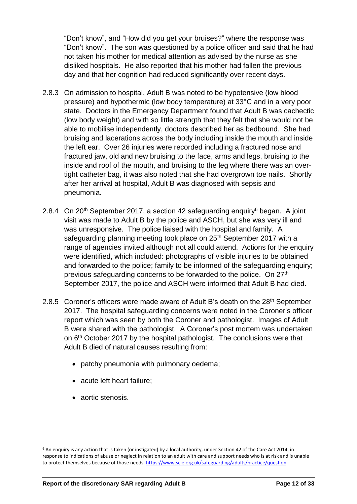"Don't know", and "How did you get your bruises?" where the response was "Don't know". The son was questioned by a police officer and said that he had not taken his mother for medical attention as advised by the nurse as she disliked hospitals. He also reported that his mother had fallen the previous day and that her cognition had reduced significantly over recent days.

- 2.8.3 On admission to hospital, Adult B was noted to be hypotensive (low blood pressure) and hypothermic (low body temperature) at 33°C and in a very poor state. Doctors in the Emergency Department found that Adult B was cachectic (low body weight) and with so little strength that they felt that she would not be able to mobilise independently, doctors described her as bedbound. She had bruising and lacerations across the body including inside the mouth and inside the left ear. Over 26 injuries were recorded including a fractured nose and fractured jaw, old and new bruising to the face, arms and legs, bruising to the inside and roof of the mouth, and bruising to the leg where there was an overtight catheter bag, it was also noted that she had overgrown toe nails. Shortly after her arrival at hospital, Adult B was diagnosed with sepsis and pneumonia.
- 2.8.4 On 20<sup>th</sup> September 2017, a section 42 safeguarding enquiry<sup>6</sup> began. A joint visit was made to Adult B by the police and ASCH, but she was very ill and was unresponsive. The police liaised with the hospital and family. A safeguarding planning meeting took place on 25<sup>th</sup> September 2017 with a range of agencies invited although not all could attend. Actions for the enquiry were identified, which included: photographs of visible injuries to be obtained and forwarded to the police; family to be informed of the safeguarding enquiry; previous safeguarding concerns to be forwarded to the police. On 27th September 2017, the police and ASCH were informed that Adult B had died.
- 2.8.5 Coroner's officers were made aware of Adult B's death on the 28<sup>th</sup> September 2017. The hospital safeguarding concerns were noted in the Coroner's officer report which was seen by both the Coroner and pathologist. Images of Adult B were shared with the pathologist. A Coroner's post mortem was undertaken on 6<sup>th</sup> October 2017 by the hospital pathologist. The conclusions were that Adult B died of natural causes resulting from:
	- patchy pneumonia with pulmonary oedema;
	- acute left heart failure;
	- aortic stenosis.

 $\overline{\phantom{a}}$  $6$  An enquiry is any action that is taken (or instigated) by a local authority, under Section 42 of the Care Act 2014, in response to indications of abuse or neglect in relation to an adult with care and support needs who is at risk and is unable to protect themselves because of those needs[. https://www.scie.org.uk/safeguarding/adults/practice/question](https://www.scie.org.uk/safeguarding/adults/practice/question)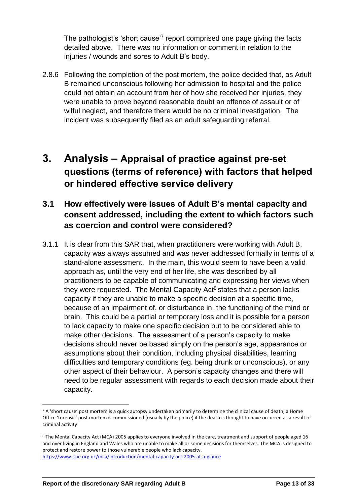The pathologist's 'short cause'<sup>7</sup> report comprised one page giving the facts detailed above. There was no information or comment in relation to the injuries / wounds and sores to Adult B's body.

2.8.6 Following the completion of the post mortem, the police decided that, as Adult B remained unconscious following her admission to hospital and the police could not obtain an account from her of how she received her injuries, they were unable to prove beyond reasonable doubt an offence of assault or of wilful neglect, and therefore there would be no criminal investigation. The incident was subsequently filed as an adult safeguarding referral.

## <span id="page-14-0"></span>**3. Analysis – Appraisal of practice against pre-set questions (terms of reference) with factors that helped or hindered effective service delivery**

#### **3.1 How effectively were issues of Adult B's mental capacity and consent addressed, including the extent to which factors such as coercion and control were considered?**

3.1.1 It is clear from this SAR that, when practitioners were working with Adult B, capacity was always assumed and was never addressed formally in terms of a stand-alone assessment. In the main, this would seem to have been a valid approach as, until the very end of her life, she was described by all practitioners to be capable of communicating and expressing her views when they were requested. The Mental Capacity Act<sup>8</sup> states that a person lacks capacity if they are unable to make a specific decision at a specific time, because of an impairment of, or disturbance in, the functioning of the mind or brain. This could be a partial or temporary loss and it is possible for a person to lack capacity to make one specific decision but to be considered able to make other decisions. The assessment of a person's capacity to make decisions should never be based simply on the person's age, appearance or assumptions about their condition, including physical disabilities, learning difficulties and temporary conditions (eg. being drunk or unconscious), or any other aspect of their behaviour. A person's capacity changes and there will need to be regular assessment with regards to each decision made about their capacity.

 $\overline{a}$ 

<sup>7</sup> A 'short cause' post mortem is a quick autopsy undertaken primarily to determine the clinical cause of death; a Home Office 'forensic' post mortem is commissioned (usually by the police) if the death is thought to have occurred as a result of criminal activity

<sup>&</sup>lt;sup>8</sup> The Mental Capacity Act (MCA) 2005 applies to everyone involved in the care, treatment and support of people aged 16 and over living in England and Wales who are unable to make all or some decisions for themselves. The MCA is designed to protect and restore power to those vulnerable people who lack capacity. <https://www.scie.org.uk/mca/introduction/mental-capacity-act-2005-at-a-glance>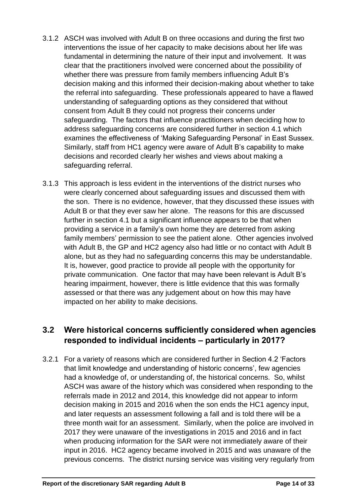- 3.1.2 ASCH was involved with Adult B on three occasions and during the first two interventions the issue of her capacity to make decisions about her life was fundamental in determining the nature of their input and involvement. It was clear that the practitioners involved were concerned about the possibility of whether there was pressure from family members influencing Adult B's decision making and this informed their decision-making about whether to take the referral into safeguarding. These professionals appeared to have a flawed understanding of safeguarding options as they considered that without consent from Adult B they could not progress their concerns under safeguarding. The factors that influence practitioners when deciding how to address safeguarding concerns are considered further in section 4.1 which examines the effectiveness of 'Making Safeguarding Personal' in East Sussex. Similarly, staff from HC1 agency were aware of Adult B's capability to make decisions and recorded clearly her wishes and views about making a safeguarding referral.
- 3.1.3 This approach is less evident in the interventions of the district nurses who were clearly concerned about safeguarding issues and discussed them with the son. There is no evidence, however, that they discussed these issues with Adult B or that they ever saw her alone. The reasons for this are discussed further in section 4.1 but a significant influence appears to be that when providing a service in a family's own home they are deterred from asking family members' permission to see the patient alone. Other agencies involved with Adult B, the GP and HC2 agency also had little or no contact with Adult B alone, but as they had no safeguarding concerns this may be understandable. It is, however, good practice to provide all people with the opportunity for private communication. One factor that may have been relevant is Adult B's hearing impairment, however, there is little evidence that this was formally assessed or that there was any judgement about on how this may have impacted on her ability to make decisions.

#### **3.2 Were historical concerns sufficiently considered when agencies responded to individual incidents – particularly in 2017?**

3.2.1 For a variety of reasons which are considered further in Section 4.2 'Factors that limit knowledge and understanding of historic concerns', few agencies had a knowledge of, or understanding of, the historical concerns. So, whilst ASCH was aware of the history which was considered when responding to the referrals made in 2012 and 2014, this knowledge did not appear to inform decision making in 2015 and 2016 when the son ends the HC1 agency input, and later requests an assessment following a fall and is told there will be a three month wait for an assessment. Similarly, when the police are involved in 2017 they were unaware of the investigations in 2015 and 2016 and in fact when producing information for the SAR were not immediately aware of their input in 2016. HC2 agency became involved in 2015 and was unaware of the previous concerns. The district nursing service was visiting very regularly from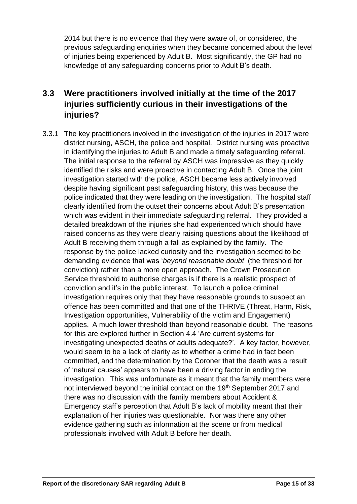2014 but there is no evidence that they were aware of, or considered, the previous safeguarding enquiries when they became concerned about the level of injuries being experienced by Adult B. Most significantly, the GP had no knowledge of any safeguarding concerns prior to Adult B's death.

#### **3.3 Were practitioners involved initially at the time of the 2017 injuries sufficiently curious in their investigations of the injuries?**

3.3.1 The key practitioners involved in the investigation of the injuries in 2017 were district nursing, ASCH, the police and hospital. District nursing was proactive in identifying the injuries to Adult B and made a timely safeguarding referral. The initial response to the referral by ASCH was impressive as they quickly identified the risks and were proactive in contacting Adult B. Once the joint investigation started with the police, ASCH became less actively involved despite having significant past safeguarding history, this was because the police indicated that they were leading on the investigation. The hospital staff clearly identified from the outset their concerns about Adult B's presentation which was evident in their immediate safeguarding referral. They provided a detailed breakdown of the injuries she had experienced which should have raised concerns as they were clearly raising questions about the likelihood of Adult B receiving them through a fall as explained by the family. The response by the police lacked curiosity and the investigation seemed to be demanding evidence that was '*beyond reasonable doubt*' (the threshold for conviction) rather than a more open approach. The Crown Prosecution Service threshold to authorise charges is if there is a realistic prospect of conviction and it's in the public interest. To launch a police criminal investigation requires only that they have reasonable grounds to suspect an offence has been committed and that one of the THRIVE (Threat, Harm, Risk, Investigation opportunities, Vulnerability of the victim and Engagement) applies. A much lower threshold than beyond reasonable doubt. The reasons for this are explored further in Section 4.4 'Are current systems for investigating unexpected deaths of adults adequate?'. A key factor, however, would seem to be a lack of clarity as to whether a crime had in fact been committed, and the determination by the Coroner that the death was a result of 'natural causes' appears to have been a driving factor in ending the investigation. This was unfortunate as it meant that the family members were not interviewed beyond the initial contact on the 19<sup>th</sup> September 2017 and there was no discussion with the family members about Accident & Emergency staff's perception that Adult B's lack of mobility meant that their explanation of her injuries was questionable. Nor was there any other evidence gathering such as information at the scene or from medical professionals involved with Adult B before her death.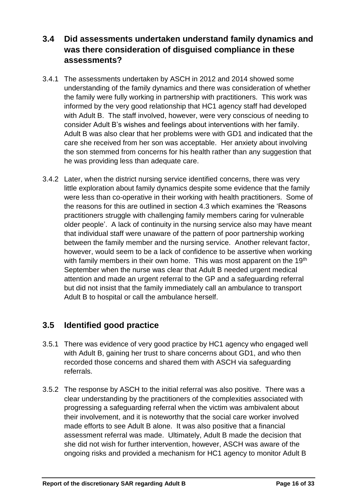**3.4 Did assessments undertaken understand family dynamics and was there consideration of disguised compliance in these assessments?**

- 3.4.1 The assessments undertaken by ASCH in 2012 and 2014 showed some understanding of the family dynamics and there was consideration of whether the family were fully working in partnership with practitioners. This work was informed by the very good relationship that HC1 agency staff had developed with Adult B. The staff involved, however, were very conscious of needing to consider Adult B's wishes and feelings about interventions with her family. Adult B was also clear that her problems were with GD1 and indicated that the care she received from her son was acceptable. Her anxiety about involving the son stemmed from concerns for his health rather than any suggestion that he was providing less than adequate care.
- 3.4.2 Later, when the district nursing service identified concerns, there was very little exploration about family dynamics despite some evidence that the family were less than co-operative in their working with health practitioners. Some of the reasons for this are outlined in section 4.3 which examines the 'Reasons practitioners struggle with challenging family members caring for vulnerable older people'. A lack of continuity in the nursing service also may have meant that individual staff were unaware of the pattern of poor partnership working between the family member and the nursing service. Another relevant factor, however, would seem to be a lack of confidence to be assertive when working with family members in their own home. This was most apparent on the 19<sup>th</sup> September when the nurse was clear that Adult B needed urgent medical attention and made an urgent referral to the GP and a safeguarding referral but did not insist that the family immediately call an ambulance to transport Adult B to hospital or call the ambulance herself.

#### **3.5 Identified good practice**

- 3.5.1 There was evidence of very good practice by HC1 agency who engaged well with Adult B, gaining her trust to share concerns about GD1, and who then recorded those concerns and shared them with ASCH via safeguarding referrals.
- 3.5.2 The response by ASCH to the initial referral was also positive. There was a clear understanding by the practitioners of the complexities associated with progressing a safeguarding referral when the victim was ambivalent about their involvement, and it is noteworthy that the social care worker involved made efforts to see Adult B alone. It was also positive that a financial assessment referral was made. Ultimately, Adult B made the decision that she did not wish for further intervention, however, ASCH was aware of the ongoing risks and provided a mechanism for HC1 agency to monitor Adult B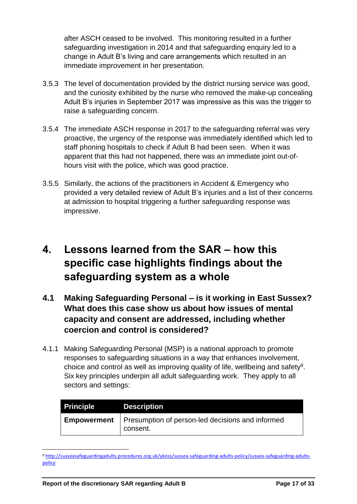after ASCH ceased to be involved. This monitoring resulted in a further safeguarding investigation in 2014 and that safeguarding enquiry led to a change in Adult B's living and care arrangements which resulted in an immediate improvement in her presentation.

- 3.5.3 The level of documentation provided by the district nursing service was good, and the curiosity exhibited by the nurse who removed the make-up concealing Adult B's injuries in September 2017 was impressive as this was the trigger to raise a safeguarding concern.
- 3.5.4 The immediate ASCH response in 2017 to the safeguarding referral was very proactive, the urgency of the response was immediately identified which led to staff phoning hospitals to check if Adult B had been seen. When it was apparent that this had not happened, there was an immediate joint out-ofhours visit with the police, which was good practice.
- 3.5.5 Similarly, the actions of the practitioners in Accident & Emergency who provided a very detailed review of Adult B's injuries and a list of their concerns at admission to hospital triggering a further safeguarding response was impressive.

## <span id="page-18-0"></span>**4. Lessons learned from the SAR – how this specific case highlights findings about the safeguarding system as a whole**

- **4.1 Making Safeguarding Personal – is it working in East Sussex? What does this case show us about how issues of mental capacity and consent are addressed, including whether coercion and control is considered?**
- 4.1.1 Making Safeguarding Personal (MSP) is a national approach to promote responses to safeguarding situations in a way that enhances involvement, choice and control as well as improving quality of life, wellbeing and safety<sup>9</sup>. Six key principles underpin all adult safeguarding work. They apply to all sectors and settings:

| <b>Principle</b>   | <b>Description</b>                                           |
|--------------------|--------------------------------------------------------------|
| <b>Empowerment</b> | Presumption of person-led decisions and informed<br>consent. |

<sup>9</sup> [http://sussexsafeguardingadults.procedures.org.uk/ykoss/sussex-safeguarding-adults-policy/sussex-safeguarding-adults](http://sussexsafeguardingadults.procedures.org.uk/ykoss/sussex-safeguarding-adults-policy/sussex-safeguarding-adults-policy)[policy](http://sussexsafeguardingadults.procedures.org.uk/ykoss/sussex-safeguarding-adults-policy/sussex-safeguarding-adults-policy)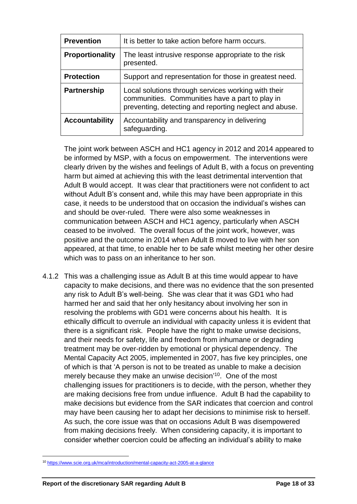| <b>Prevention</b>      | It is better to take action before harm occurs.                                                                                                                  |
|------------------------|------------------------------------------------------------------------------------------------------------------------------------------------------------------|
| <b>Proportionality</b> | The least intrusive response appropriate to the risk<br>presented.                                                                                               |
| <b>Protection</b>      | Support and representation for those in greatest need.                                                                                                           |
| <b>Partnership</b>     | Local solutions through services working with their<br>communities. Communities have a part to play in<br>preventing, detecting and reporting neglect and abuse. |
| <b>Accountability</b>  | Accountability and transparency in delivering<br>safeguarding.                                                                                                   |

The joint work between ASCH and HC1 agency in 2012 and 2014 appeared to be informed by MSP, with a focus on empowerment. The interventions were clearly driven by the wishes and feelings of Adult B, with a focus on preventing harm but aimed at achieving this with the least detrimental intervention that Adult B would accept. It was clear that practitioners were not confident to act without Adult B's consent and, while this may have been appropriate in this case, it needs to be understood that on occasion the individual's wishes can and should be over-ruled. There were also some weaknesses in communication between ASCH and HC1 agency, particularly when ASCH ceased to be involved. The overall focus of the joint work, however, was positive and the outcome in 2014 when Adult B moved to live with her son appeared, at that time, to enable her to be safe whilst meeting her other desire which was to pass on an inheritance to her son.

4.1.2 This was a challenging issue as Adult B at this time would appear to have capacity to make decisions, and there was no evidence that the son presented any risk to Adult B's well-being. She was clear that it was GD1 who had harmed her and said that her only hesitancy about involving her son in resolving the problems with GD1 were concerns about his health. It is ethically difficult to overrule an individual with capacity unless it is evident that there is a significant risk. People have the right to make unwise decisions, and their needs for safety, life and freedom from inhumane or degrading treatment may be over-ridden by emotional or physical dependency. The Mental Capacity Act 2005, implemented in 2007, has five key principles, one of which is that 'A person is not to be treated as unable to make a decision merely because they make an unwise decision<sup>'10</sup>. One of the most challenging issues for practitioners is to decide, with the person, whether they are making decisions free from undue influence. Adult B had the capability to make decisions but evidence from the SAR indicates that coercion and control may have been causing her to adapt her decisions to minimise risk to herself. As such, the core issue was that on occasions Adult B was disempowered from making decisions freely. When considering capacity, it is important to consider whether coercion could be affecting an individual's ability to make

 $\overline{a}$ 

<sup>10</sup> <https://www.scie.org.uk/mca/introduction/mental-capacity-act-2005-at-a-glance>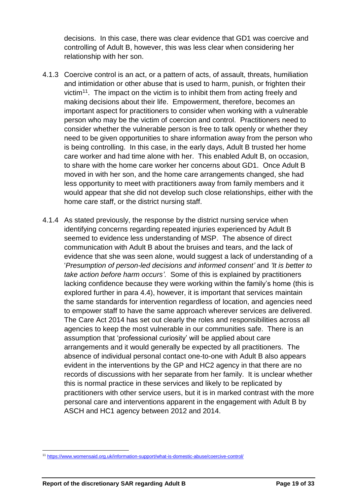decisions. In this case, there was clear evidence that GD1 was coercive and controlling of Adult B, however, this was less clear when considering her relationship with her son.

- 4.1.3 Coercive control is an act, or a pattern of acts, of assault, threats, humiliation and intimidation or other abuse that is used to harm, punish, or frighten their victim<sup>11</sup>. The impact on the victim is to inhibit them from acting freely and making decisions about their life. Empowerment, therefore, becomes an important aspect for practitioners to consider when working with a vulnerable person who may be the victim of coercion and control. Practitioners need to consider whether the vulnerable person is free to talk openly or whether they need to be given opportunities to share information away from the person who is being controlling. In this case, in the early days, Adult B trusted her home care worker and had time alone with her. This enabled Adult B, on occasion, to share with the home care worker her concerns about GD1. Once Adult B moved in with her son, and the home care arrangements changed, she had less opportunity to meet with practitioners away from family members and it would appear that she did not develop such close relationships, either with the home care staff, or the district nursing staff.
- 4.1.4 As stated previously, the response by the district nursing service when identifying concerns regarding repeated injuries experienced by Adult B seemed to evidence less understanding of MSP. The absence of direct communication with Adult B about the bruises and tears, and the lack of evidence that she was seen alone, would suggest a lack of understanding of a '*Presumption of person-led decisions and informed consent'* and *'It is better to take action before harm occurs'.* Some of this is explained by practitioners lacking confidence because they were working within the family's home (this is explored further in para 4.4), however, it is important that services maintain the same standards for intervention regardless of location, and agencies need to empower staff to have the same approach wherever services are delivered. The Care Act 2014 has set out clearly the roles and responsibilities across all agencies to keep the most vulnerable in our communities safe. There is an assumption that 'professional curiosity' will be applied about care arrangements and it would generally be expected by all practitioners. The absence of individual personal contact one-to-one with Adult B also appears evident in the interventions by the GP and HC2 agency in that there are no records of discussions with her separate from her family. It is unclear whether this is normal practice in these services and likely to be replicated by practitioners with other service users, but it is in marked contrast with the more personal care and interventions apparent in the engagement with Adult B by ASCH and HC1 agency between 2012 and 2014.

<sup>11</sup> <https://www.womensaid.org.uk/information-support/what-is-domestic-abuse/coercive-control/>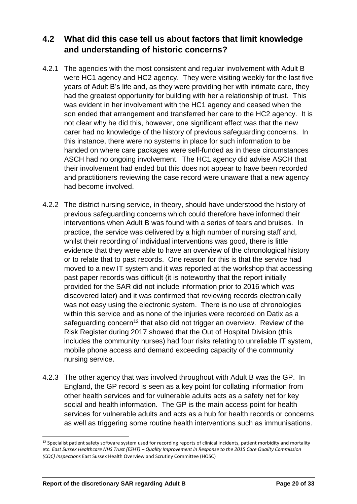#### **4.2 What did this case tell us about factors that limit knowledge and understanding of historic concerns?**

- 4.2.1 The agencies with the most consistent and regular involvement with Adult B were HC1 agency and HC2 agency. They were visiting weekly for the last five years of Adult B's life and, as they were providing her with intimate care, they had the greatest opportunity for building with her a relationship of trust. This was evident in her involvement with the HC1 agency and ceased when the son ended that arrangement and transferred her care to the HC2 agency. It is not clear why he did this, however, one significant effect was that the new carer had no knowledge of the history of previous safeguarding concerns. In this instance, there were no systems in place for such information to be handed on where care packages were self-funded as in these circumstances ASCH had no ongoing involvement. The HC1 agency did advise ASCH that their involvement had ended but this does not appear to have been recorded and practitioners reviewing the case record were unaware that a new agency had become involved.
- 4.2.2 The district nursing service, in theory, should have understood the history of previous safeguarding concerns which could therefore have informed their interventions when Adult B was found with a series of tears and bruises. In practice, the service was delivered by a high number of nursing staff and, whilst their recording of individual interventions was good, there is little evidence that they were able to have an overview of the chronological history or to relate that to past records. One reason for this is that the service had moved to a new IT system and it was reported at the workshop that accessing past paper records was difficult (it is noteworthy that the report initially provided for the SAR did not include information prior to 2016 which was discovered later) and it was confirmed that reviewing records electronically was not easy using the electronic system. There is no use of chronologies within this service and as none of the injuries were recorded on Datix as a safeguarding concern<sup>12</sup> that also did not trigger an overview. Review of the Risk Register during 2017 showed that the Out of Hospital Division (this includes the community nurses) had four risks relating to unreliable IT system, mobile phone access and demand exceeding capacity of the community nursing service.
- 4.2.3 The other agency that was involved throughout with Adult B was the GP. In England, the GP record is seen as a key point for collating information from other health services and for vulnerable adults acts as a safety net for key social and health information. The GP is the main access point for health services for vulnerable adults and acts as a hub for health records or concerns as well as triggering some routine health interventions such as immunisations.

<sup>&</sup>lt;sup>12</sup> Specialist patient safety software system used for recording reports of clinical incidents, patient morbidity and mortality etc. *East Sussex Healthcare NHS Trust (ESHT) – Quality Improvement in Response to the 2015 Care Quality Commission (CQC) Inspections* East Sussex Health Overview and Scrutiny Committee (HOSC)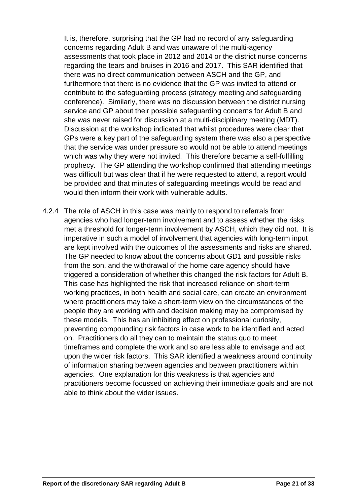It is, therefore, surprising that the GP had no record of any safeguarding concerns regarding Adult B and was unaware of the multi-agency assessments that took place in 2012 and 2014 or the district nurse concerns regarding the tears and bruises in 2016 and 2017. This SAR identified that there was no direct communication between ASCH and the GP, and furthermore that there is no evidence that the GP was invited to attend or contribute to the safeguarding process (strategy meeting and safeguarding conference). Similarly, there was no discussion between the district nursing service and GP about their possible safeguarding concerns for Adult B and she was never raised for discussion at a multi-disciplinary meeting (MDT). Discussion at the workshop indicated that whilst procedures were clear that GPs were a key part of the safeguarding system there was also a perspective that the service was under pressure so would not be able to attend meetings which was why they were not invited. This therefore became a self-fulfilling prophecy. The GP attending the workshop confirmed that attending meetings was difficult but was clear that if he were requested to attend, a report would be provided and that minutes of safeguarding meetings would be read and would then inform their work with vulnerable adults.

4.2.4 The role of ASCH in this case was mainly to respond to referrals from agencies who had longer-term involvement and to assess whether the risks met a threshold for longer-term involvement by ASCH, which they did not. It is imperative in such a model of involvement that agencies with long-term input are kept involved with the outcomes of the assessments and risks are shared. The GP needed to know about the concerns about GD1 and possible risks from the son, and the withdrawal of the home care agency should have triggered a consideration of whether this changed the risk factors for Adult B. This case has highlighted the risk that increased reliance on short-term working practices, in both health and social care, can create an environment where practitioners may take a short-term view on the circumstances of the people they are working with and decision making may be compromised by these models. This has an inhibiting effect on professional curiosity, preventing compounding risk factors in case work to be identified and acted on. Practitioners do all they can to maintain the status quo to meet timeframes and complete the work and so are less able to envisage and act upon the wider risk factors. This SAR identified a weakness around continuity of information sharing between agencies and between practitioners within agencies. One explanation for this weakness is that agencies and practitioners become focussed on achieving their immediate goals and are not able to think about the wider issues.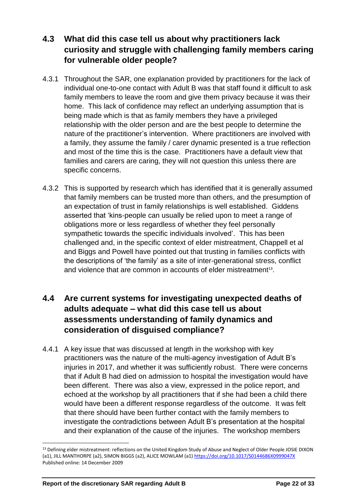#### **4.3 What did this case tell us about why practitioners lack curiosity and struggle with challenging family members caring for vulnerable older people?**

- 4.3.1 Throughout the SAR, one explanation provided by practitioners for the lack of individual one-to-one contact with Adult B was that staff found it difficult to ask family members to leave the room and give them privacy because it was their home. This lack of confidence may reflect an underlying assumption that is being made which is that as family members they have a privileged relationship with the older person and are the best people to determine the nature of the practitioner's intervention. Where practitioners are involved with a family, they assume the family / carer dynamic presented is a true reflection and most of the time this is the case. Practitioners have a default view that families and carers are caring, they will not question this unless there are specific concerns.
- 4.3.2 This is supported by research which has identified that it is generally assumed that family members can be trusted more than others, and the presumption of an expectation of trust in family relationships is well established. Giddens asserted that 'kins-people can usually be relied upon to meet a range of obligations more or less regardless of whether they feel personally sympathetic towards the specific individuals involved'. This has been challenged and, in the specific context of elder mistreatment, Chappell et al and Biggs and Powell have pointed out that trusting in families conflicts with the descriptions of 'the family' as a site of inter-generational stress, conflict and violence that are common in accounts of elder mistreatment $13$ .

#### **4.4 Are current systems for investigating unexpected deaths of adults adequate – what did this case tell us about assessments understanding of family dynamics and consideration of disguised compliance?**

4.4.1 A key issue that was discussed at length in the workshop with key practitioners was the nature of the multi-agency investigation of Adult B's injuries in 2017, and whether it was sufficiently robust. There were concerns that if Adult B had died on admission to hospital the investigation would have been different. There was also a view, expressed in the police report, and echoed at the workshop by all practitioners that if she had been a child there would have been a different response regardless of the outcome. It was felt that there should have been further contact with the family members to investigate the contradictions between Adult B's presentation at the hospital and their explanation of the cause of the injuries. The workshop members

 $\overline{\phantom{a}}$ <sup>13</sup> Defining elder mistreatment: reflections on the United Kingdom Study of Abuse and Neglect of Older People JOSIE DIXON (a1), JILL MANTHORPE (a2), SIMON BIGGS (a2), ALICE MOWLAM (a1)<https://doi.org/10.1017/S0144686X0999047X> Published online: 14 December 2009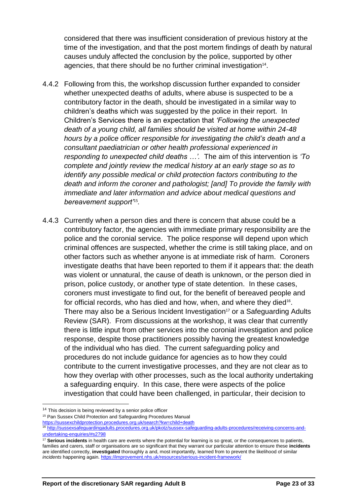considered that there was insufficient consideration of previous history at the time of the investigation, and that the post mortem findings of death by natural causes unduly affected the conclusion by the police, supported by other agencies, that there should be no further criminal investigation<sup>14</sup>.

- 4.4.2 Following from this, the workshop discussion further expanded to consider whether unexpected deaths of adults, where abuse is suspected to be a contributory factor in the death, should be investigated in a similar way to children's deaths which was suggested by the police in their report. In Children's Services there is an expectation that *'Following the unexpected death of a young child, all families should be visited at home within 24-48 hours by a police officer responsible for investigating the child's death and a consultant paediatrician or other health professional experienced in responding to unexpected child deaths …'.* The aim of this intervention is *'To complete and jointly review the medical history at an early stage so as to identify any possible medical or child protection factors contributing to the death and inform the coroner and pathologist; [and] To provide the family with immediate and later information and advice about medical questions and bereavement support'*<sup>15</sup> *.*
- 4.4.3 Currently when a person dies and there is concern that abuse could be a contributory factor, the agencies with immediate primary responsibility are the police and the coronial service. The police response will depend upon which criminal offences are suspected, whether the crime is still taking place, and on other factors such as whether anyone is at immediate risk of harm. Coroners investigate deaths that have been reported to them if it appears that: the death was violent or unnatural, the cause of death is unknown, or the person died in prison, police custody, or another type of state detention. In these cases, coroners must investigate to find out, for the benefit of bereaved people and for official records, who has died and how, when, and where they died<sup>16</sup>. There may also be a Serious Incident Investigation<sup>17</sup> or a Safeguarding Adults Review (SAR). From discussions at the workshop, it was clear that currently there is little input from other services into the coronial investigation and police response, despite those practitioners possibly having the greatest knowledge of the individual who has died. The current safeguarding policy and procedures do not include guidance for agencies as to how they could contribute to the current investigative processes, and they are not clear as to how they overlap with other processes, such as the local authority undertaking a safeguarding enquiry. In this case, there were aspects of the police investigation that could have been challenged, in particular, their decision to

<sup>&</sup>lt;sup>14</sup> This decision is being reviewed by a senior police officer

<sup>15</sup> Pan Sussex Child Protection and Safeguarding Procedures Manual

<https://sussexchildprotection.procedures.org.uk/search?kw=child+death>

<sup>16</sup> [http://sussexsafeguardingadults.procedures.org.uk/pkotz/sussex-safeguarding-adults-procedures/receiving-concerns-and](http://sussexsafeguardingadults.procedures.org.uk/pkotz/sussex-safeguarding-adults-procedures/receiving-concerns-and-undertaking-enquiries/#s2798)[undertaking-enquiries/#s2798](http://sussexsafeguardingadults.procedures.org.uk/pkotz/sussex-safeguarding-adults-procedures/receiving-concerns-and-undertaking-enquiries/#s2798)

<sup>&</sup>lt;sup>17</sup> Serious incidents in health care are events where the potential for learning is so great, or the consequences to patients, families and carers, staff or organisations are so significant that they warrant our particular attention to ensure these **incidents** are identified correctly, **investigated** thoroughly a and, most importantly, learned from to prevent the likelihood of similar *incidents* happening again. <https://improvement.nhs.uk/resources/serious-incident-framework/>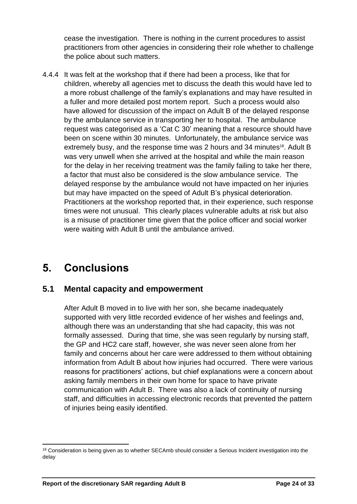cease the investigation. There is nothing in the current procedures to assist practitioners from other agencies in considering their role whether to challenge the police about such matters.

4.4.4 It was felt at the workshop that if there had been a process, like that for children, whereby all agencies met to discuss the death this would have led to a more robust challenge of the family's explanations and may have resulted in a fuller and more detailed post mortem report. Such a process would also have allowed for discussion of the impact on Adult B of the delayed response by the ambulance service in transporting her to hospital. The ambulance request was categorised as a 'Cat C 30' meaning that a resource should have been on scene within 30 minutes. Unfortunately, the ambulance service was extremely busy, and the response time was 2 hours and 34 minutes<sup>18</sup>. Adult B was very unwell when she arrived at the hospital and while the main reason for the delay in her receiving treatment was the family failing to take her there, a factor that must also be considered is the slow ambulance service. The delayed response by the ambulance would not have impacted on her injuries but may have impacted on the speed of Adult B's physical deterioration. Practitioners at the workshop reported that, in their experience, such response times were not unusual. This clearly places vulnerable adults at risk but also is a misuse of practitioner time given that the police officer and social worker were waiting with Adult B until the ambulance arrived.

## <span id="page-25-0"></span>**5. Conclusions**

#### **5.1 Mental capacity and empowerment**

After Adult B moved in to live with her son, she became inadequately supported with very little recorded evidence of her wishes and feelings and, although there was an understanding that she had capacity, this was not formally assessed. During that time, she was seen regularly by nursing staff, the GP and HC2 care staff, however, she was never seen alone from her family and concerns about her care were addressed to them without obtaining information from Adult B about how injuries had occurred. There were various reasons for practitioners' actions, but chief explanations were a concern about asking family members in their own home for space to have private communication with Adult B. There was also a lack of continuity of nursing staff, and difficulties in accessing electronic records that prevented the pattern of injuries being easily identified.

l <sup>18</sup> Consideration is being given as to whether SECAmb should consider a Serious Incident investigation into the delay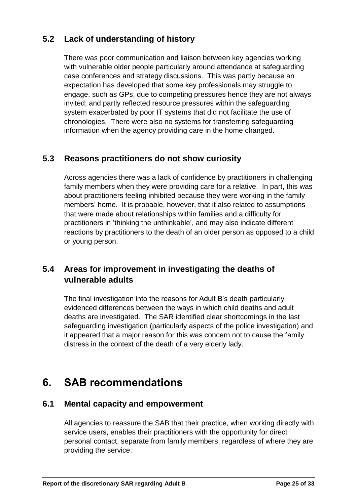#### **5.2 Lack of understanding of history**

There was poor communication and liaison between key agencies working with vulnerable older people particularly around attendance at safeguarding case conferences and strategy discussions. This was partly because an expectation has developed that some key professionals may struggle to engage, such as GPs, due to competing pressures hence they are not always invited; and partly reflected resource pressures within the safeguarding system exacerbated by poor IT systems that did not facilitate the use of chronologies. There were also no systems for transferring safeguarding information when the agency providing care in the home changed.

#### **5.3 Reasons practitioners do not show curiosity**

Across agencies there was a lack of confidence by practitioners in challenging family members when they were providing care for a relative. In part, this was about practitioners feeling inhibited because they were working in the family members' home. It is probable, however, that it also related to assumptions that were made about relationships within families and a difficulty for practitioners in 'thinking the unthinkable', and may also indicate different reactions by practitioners to the death of an older person as opposed to a child or young person.

#### **5.4 Areas for improvement in investigating the deaths of vulnerable adults**

The final investigation into the reasons for Adult B's death particularly evidenced differences between the ways in which child deaths and adult deaths are investigated. The SAR identified clear shortcomings in the last safeguarding investigation (particularly aspects of the police investigation) and it appeared that a major reason for this was concern not to cause the family distress in the context of the death of a very elderly lady.

## <span id="page-26-0"></span>**6. SAB recommendations**

#### **6.1 Mental capacity and empowerment**

All agencies to reassure the SAB that their practice, when working directly with service users, enables their practitioners with the opportunity for direct personal contact, separate from family members, regardless of where they are providing the service.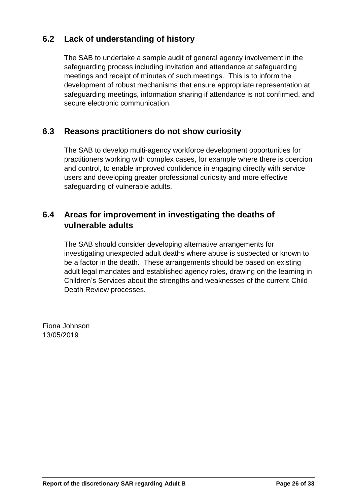#### **6.2 Lack of understanding of history**

The SAB to undertake a sample audit of general agency involvement in the safeguarding process including invitation and attendance at safeguarding meetings and receipt of minutes of such meetings. This is to inform the development of robust mechanisms that ensure appropriate representation at safeguarding meetings, information sharing if attendance is not confirmed, and secure electronic communication.

#### **6.3 Reasons practitioners do not show curiosity**

The SAB to develop multi-agency workforce development opportunities for practitioners working with complex cases, for example where there is coercion and control, to enable improved confidence in engaging directly with service users and developing greater professional curiosity and more effective safeguarding of vulnerable adults.

#### **6.4 Areas for improvement in investigating the deaths of vulnerable adults**

The SAB should consider developing alternative arrangements for investigating unexpected adult deaths where abuse is suspected or known to be a factor in the death. These arrangements should be based on existing adult legal mandates and established agency roles, drawing on the learning in Children's Services about the strengths and weaknesses of the current Child Death Review processes.

Fiona Johnson 13/05/2019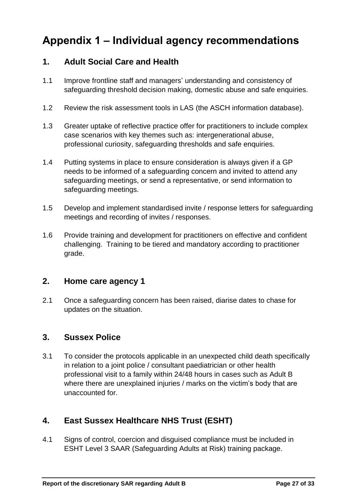# <span id="page-28-0"></span>**Appendix 1 – Individual agency recommendations**

#### **1. Adult Social Care and Health**

- 1.1 Improve frontline staff and managers' understanding and consistency of safeguarding threshold decision making, domestic abuse and safe enquiries.
- 1.2 Review the risk assessment tools in LAS (the ASCH information database).
- 1.3 Greater uptake of reflective practice offer for practitioners to include complex case scenarios with key themes such as: intergenerational abuse, professional curiosity, safeguarding thresholds and safe enquiries.
- 1.4 Putting systems in place to ensure consideration is always given if a GP needs to be informed of a safeguarding concern and invited to attend any safeguarding meetings, or send a representative, or send information to safeguarding meetings.
- 1.5 Develop and implement standardised invite / response letters for safeguarding meetings and recording of invites / responses.
- 1.6 Provide training and development for practitioners on effective and confident challenging. Training to be tiered and mandatory according to practitioner grade.

#### **2. Home care agency 1**

2.1 Once a safeguarding concern has been raised, diarise dates to chase for updates on the situation.

#### **3. Sussex Police**

3.1 To consider the protocols applicable in an unexpected child death specifically in relation to a joint police / consultant paediatrician or other health professional visit to a family within 24/48 hours in cases such as Adult B where there are unexplained injuries / marks on the victim's body that are unaccounted for.

#### **4. East Sussex Healthcare NHS Trust (ESHT)**

4.1 Signs of control, coercion and disguised compliance must be included in ESHT Level 3 SAAR (Safeguarding Adults at Risk) training package.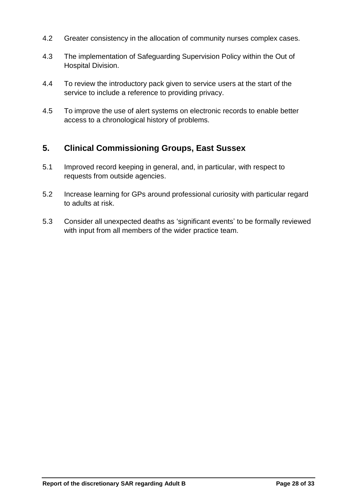- 4.2 Greater consistency in the allocation of community nurses complex cases.
- 4.3 The implementation of Safeguarding Supervision Policy within the Out of Hospital Division.
- 4.4 To review the introductory pack given to service users at the start of the service to include a reference to providing privacy.
- 4.5 To improve the use of alert systems on electronic records to enable better access to a chronological history of problems.

#### **5. Clinical Commissioning Groups, East Sussex**

- 5.1 Improved record keeping in general, and, in particular, with respect to requests from outside agencies.
- 5.2 Increase learning for GPs around professional curiosity with particular regard to adults at risk.
- 5.3 Consider all unexpected deaths as 'significant events' to be formally reviewed with input from all members of the wider practice team.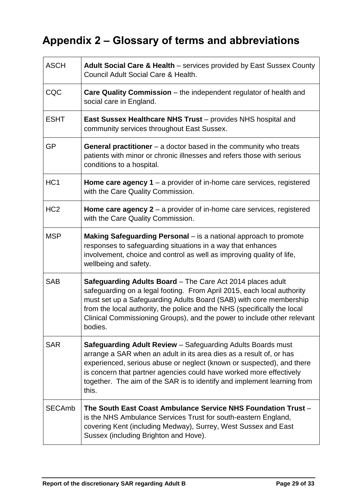# <span id="page-30-0"></span>**Appendix 2 – Glossary of terms and abbreviations**

| <b>ASCH</b>     | Adult Social Care & Health - services provided by East Sussex County<br>Council Adult Social Care & Health.                                                                                                                                                                                                                                                                   |
|-----------------|-------------------------------------------------------------------------------------------------------------------------------------------------------------------------------------------------------------------------------------------------------------------------------------------------------------------------------------------------------------------------------|
| CQC             | <b>Care Quality Commission</b> – the independent regulator of health and<br>social care in England.                                                                                                                                                                                                                                                                           |
| <b>ESHT</b>     | <b>East Sussex Healthcare NHS Trust</b> – provides NHS hospital and<br>community services throughout East Sussex.                                                                                                                                                                                                                                                             |
| <b>GP</b>       | <b>General practitioner</b> $-$ a doctor based in the community who treats<br>patients with minor or chronic illnesses and refers those with serious<br>conditions to a hospital.                                                                                                                                                                                             |
| HC <sub>1</sub> | <b>Home care agency 1</b> – a provider of in-home care services, registered<br>with the Care Quality Commission.                                                                                                                                                                                                                                                              |
| HC <sub>2</sub> | Home care agency $2 - a$ provider of in-home care services, registered<br>with the Care Quality Commission.                                                                                                                                                                                                                                                                   |
| <b>MSP</b>      | Making Safeguarding Personal - is a national approach to promote<br>responses to safeguarding situations in a way that enhances<br>involvement, choice and control as well as improving quality of life,<br>wellbeing and safety.                                                                                                                                             |
| <b>SAB</b>      | Safeguarding Adults Board - The Care Act 2014 places adult<br>safeguarding on a legal footing. From April 2015, each local authority<br>must set up a Safeguarding Adults Board (SAB) with core membership<br>from the local authority, the police and the NHS (specifically the local<br>Clinical Commissioning Groups), and the power to include other relevant<br>bodies.  |
| <b>SAR</b>      | <b>Safeguarding Adult Review</b> – Safeguarding Adults Boards must<br>arrange a SAR when an adult in its area dies as a result of, or has<br>experienced, serious abuse or neglect (known or suspected), and there<br>is concern that partner agencies could have worked more effectively<br>together. The aim of the SAR is to identify and implement learning from<br>this. |
| <b>SECAmb</b>   | The South East Coast Ambulance Service NHS Foundation Trust -<br>is the NHS Ambulance Services Trust for south-eastern England,<br>covering Kent (including Medway), Surrey, West Sussex and East<br>Sussex (including Brighton and Hove).                                                                                                                                    |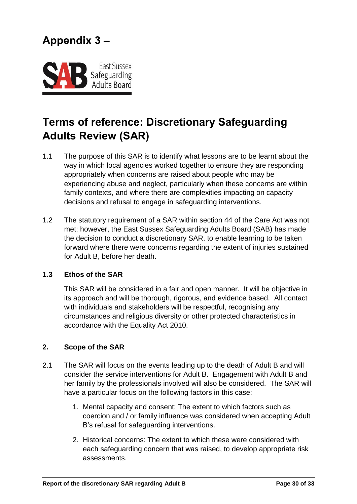<span id="page-31-0"></span>

# **Terms of reference: Discretionary Safeguarding Adults Review (SAR)**

- 1.1 The purpose of this SAR is to identify what lessons are to be learnt about the way in which local agencies worked together to ensure they are responding appropriately when concerns are raised about people who may be experiencing abuse and neglect, particularly when these concerns are within family contexts, and where there are complexities impacting on capacity decisions and refusal to engage in safeguarding interventions.
- 1.2 The statutory requirement of a SAR within section 44 of the Care Act was not met; however, the East Sussex Safeguarding Adults Board (SAB) has made the decision to conduct a discretionary SAR, to enable learning to be taken forward where there were concerns regarding the extent of injuries sustained for Adult B, before her death.

#### **1.3 Ethos of the SAR**

This SAR will be considered in a fair and open manner. It will be objective in its approach and will be thorough, rigorous, and evidence based. All contact with individuals and stakeholders will be respectful, recognising any circumstances and religious diversity or other protected characteristics in accordance with the Equality Act 2010.

#### **2. Scope of the SAR**

- 2.1 The SAR will focus on the events leading up to the death of Adult B and will consider the service interventions for Adult B. Engagement with Adult B and her family by the professionals involved will also be considered. The SAR will have a particular focus on the following factors in this case:
	- 1. Mental capacity and consent: The extent to which factors such as coercion and / or family influence was considered when accepting Adult B's refusal for safeguarding interventions.
	- 2. Historical concerns: The extent to which these were considered with each safeguarding concern that was raised, to develop appropriate risk assessments.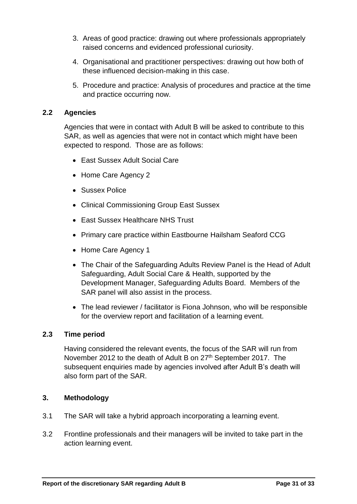- 3. Areas of good practice: drawing out where professionals appropriately raised concerns and evidenced professional curiosity.
- 4. Organisational and practitioner perspectives: drawing out how both of these influenced decision-making in this case.
- 5. Procedure and practice: Analysis of procedures and practice at the time and practice occurring now.

#### **2.2 Agencies**

Agencies that were in contact with Adult B will be asked to contribute to this SAR, as well as agencies that were not in contact which might have been expected to respond. Those are as follows:

- East Sussex Adult Social Care
- Home Care Agency 2
- Sussex Police
- Clinical Commissioning Group East Sussex
- East Sussex Healthcare NHS Trust
- Primary care practice within Eastbourne Hailsham Seaford CCG
- Home Care Agency 1
- The Chair of the Safeguarding Adults Review Panel is the Head of Adult Safeguarding, Adult Social Care & Health, supported by the Development Manager, Safeguarding Adults Board. Members of the SAR panel will also assist in the process.
- The lead reviewer / facilitator is Fiona Johnson, who will be responsible for the overview report and facilitation of a learning event.

#### **2.3 Time period**

Having considered the relevant events, the focus of the SAR will run from November 2012 to the death of Adult B on 27<sup>th</sup> September 2017. The subsequent enquiries made by agencies involved after Adult B's death will also form part of the SAR.

#### **3. Methodology**

- 3.1 The SAR will take a hybrid approach incorporating a learning event.
- 3.2 Frontline professionals and their managers will be invited to take part in the action learning event.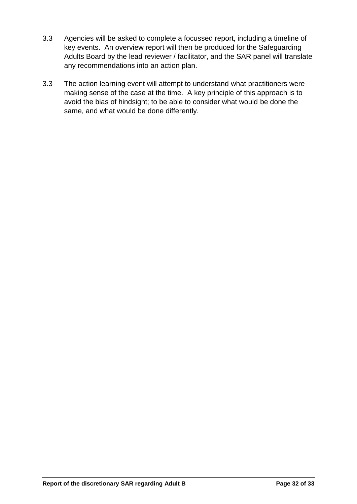- 3.3 Agencies will be asked to complete a focussed report, including a timeline of key events. An overview report will then be produced for the Safeguarding Adults Board by the lead reviewer / facilitator, and the SAR panel will translate any recommendations into an action plan.
- 3.3 The action learning event will attempt to understand what practitioners were making sense of the case at the time. A key principle of this approach is to avoid the bias of hindsight; to be able to consider what would be done the same, and what would be done differently.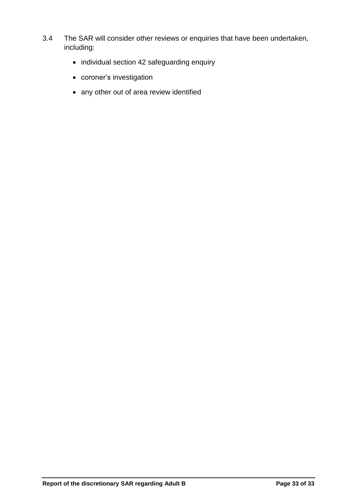- 3.4 The SAR will consider other reviews or enquiries that have been undertaken, including:
	- individual section 42 safeguarding enquiry
	- coroner's investigation
	- any other out of area review identified